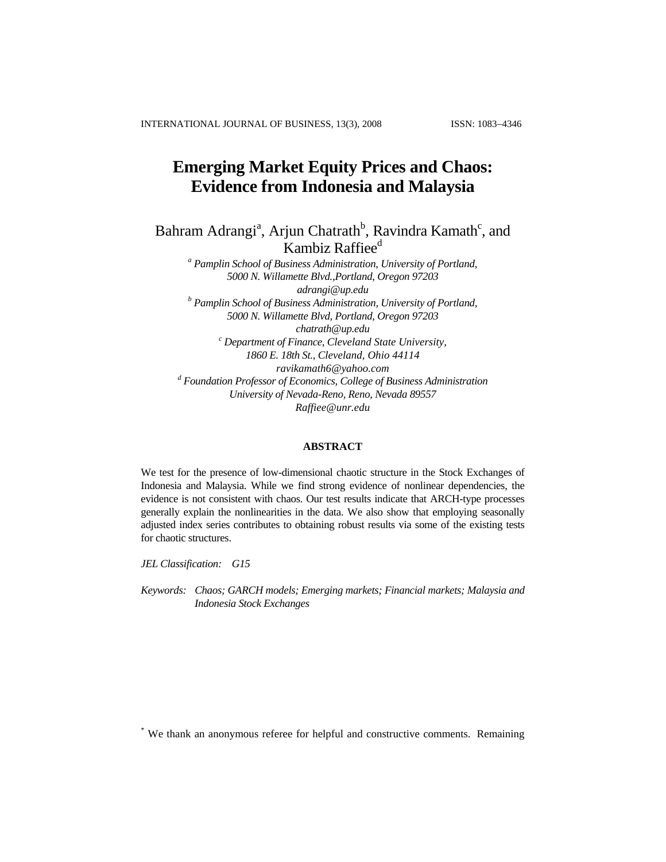# **Emerging Market Equity Prices and Chaos: Evidence from Indonesia and Malaysia**

Bahram Adrangi<sup>a</sup>, Arjun Chatrath<sup>b</sup>, Ravindra Kamath<sup>c</sup>, and Kambiz Raffiee<sup>d</sup>

*a Pamplin School of Business Administration, University of Portland, 5000 N. Willamette Blvd.,Portland, Oregon 97203 adrangi@up.edu b Pamplin School of Business Administration, University of Portland, 5000 N. Willamette Blvd, Portland, Oregon 97203 chatrath@up.edu c Department of Finance, Cleveland State University, 1860 E. 18th St., Cleveland, Ohio 44114 [ravikamath6@yahoo.com](mailto:ravikamath6@yahoo.com)* <sup>d</sup> Foundation Professor of Economics, College of Business Administration *University of Nevada-Reno, Reno, Nevada 89557 Raffiee@unr.edu* 

## **ABSTRACT**

We test for the presence of low-dimensional chaotic structure in the Stock Exchanges of Indonesia and Malaysia. While we find strong evidence of nonlinear dependencies, the evidence is not consistent with chaos. Our test results indicate that ARCH-type processes generally explain the nonlinearities in the data. We also show that employing seasonally adjusted index series contributes to obtaining robust results via some of the existing tests for chaotic structures.

*JEL Classification: G15* 

*Keywords: Chaos; GARCH models; Emerging markets; Financial markets; Malaysia and Indonesia Stock Exchanges* 

\* We thank an anonymous referee for helpful and constructive comments. Remaining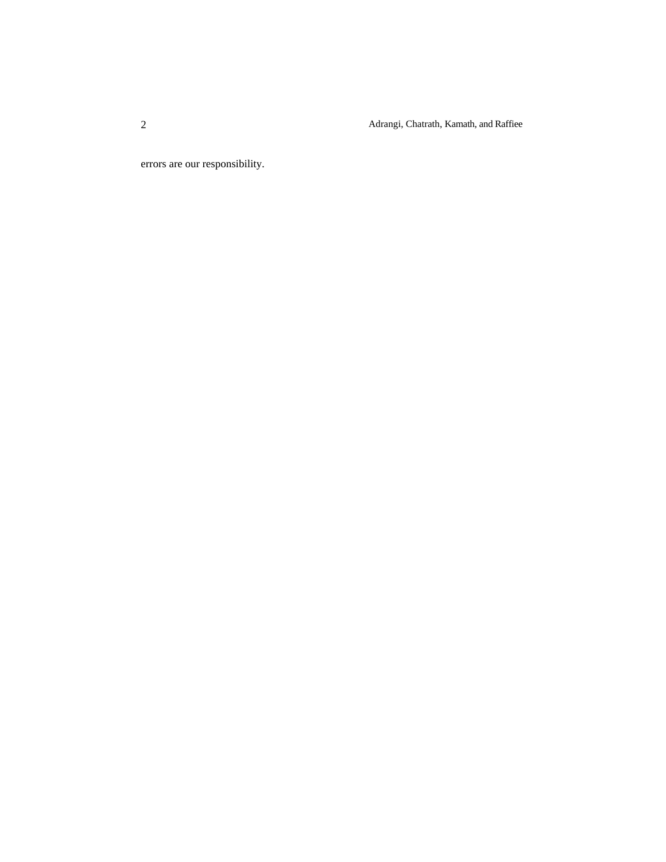Adrangi, Chatrath, Kamath, and Raffiee

errors are our responsibility.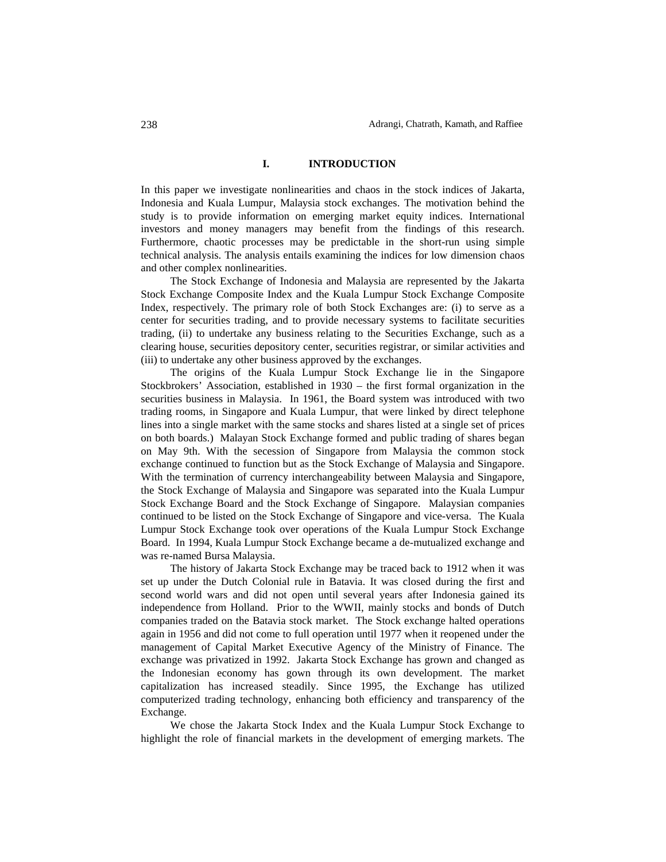### **I. INTRODUCTION**

In this paper we investigate nonlinearities and chaos in the stock indices of Jakarta, Indonesia and Kuala Lumpur, Malaysia stock exchanges. The motivation behind the study is to provide information on emerging market equity indices. International investors and money managers may benefit from the findings of this research. Furthermore, chaotic processes may be predictable in the short-run using simple technical analysis. The analysis entails examining the indices for low dimension chaos and other complex nonlinearities.

The Stock Exchange of Indonesia and Malaysia are represented by the Jakarta Stock Exchange Composite Index and the Kuala Lumpur Stock Exchange Composite Index, respectively. The primary role of both Stock Exchanges are: (i) to serve as a center for securities trading, and to provide necessary systems to facilitate securities trading, (ii) to undertake any business relating to the Securities Exchange, such as a clearing house, securities depository center, securities registrar, or similar activities and (iii) to undertake any other business approved by the exchanges.

The origins of the Kuala Lumpur Stock Exchange lie in the Singapore Stockbrokers' Association, established in 1930 – the first formal organization in the securities business in Malaysia. In 1961, the Board system was introduced with two trading rooms, in Singapore and Kuala Lumpur, that were linked by direct telephone lines into a single market with the same stocks and shares listed at a single set of prices on both boards.) Malayan Stock Exchange formed and public trading of shares began on May 9th. With the secession of Singapore from Malaysia the common stock exchange continued to function but as the Stock Exchange of Malaysia and Singapore. With the termination of currency interchangeability between Malaysia and Singapore, the Stock Exchange of Malaysia and Singapore was separated into the Kuala Lumpur Stock Exchange Board and the Stock Exchange of Singapore. Malaysian companies continued to be listed on the Stock Exchange of Singapore and vice-versa. The Kuala Lumpur Stock Exchange took over operations of the Kuala Lumpur Stock Exchange Board. In 1994, Kuala Lumpur Stock Exchange became a de-mutualized exchange and was re-named Bursa Malaysia.

The history of Jakarta Stock Exchange may be traced back to 1912 when it was set up under the Dutch Colonial rule in Batavia. It was closed during the first and second world wars and did not open until several years after Indonesia gained its independence from Holland. Prior to the WWII, mainly stocks and bonds of Dutch companies traded on the Batavia stock market. The Stock exchange halted operations again in 1956 and did not come to full operation until 1977 when it reopened under the management of Capital Market Executive Agency of the Ministry of Finance. The exchange was privatized in 1992. Jakarta Stock Exchange has grown and changed as the Indonesian economy has gown through its own development. The market capitalization has increased steadily. Since 1995, the Exchange has utilized computerized trading technology, enhancing both efficiency and transparency of the Exchange.

We chose the Jakarta Stock Index and the Kuala Lumpur Stock Exchange to highlight the role of financial markets in the development of emerging markets. The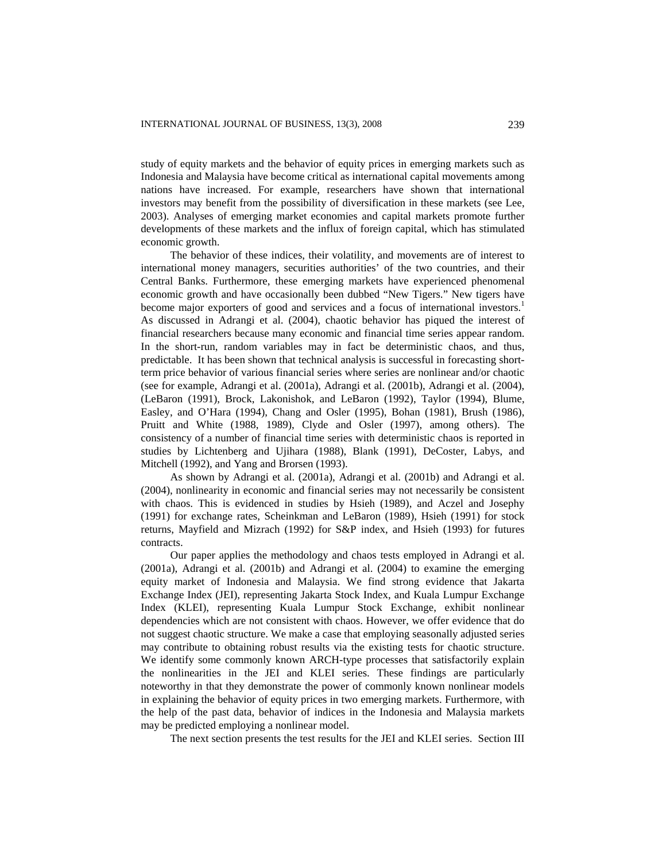study of equity markets and the behavior of equity prices in emerging markets such as Indonesia and Malaysia have become critical as international capital movements among nations have increased. For example, researchers have shown that international investors may benefit from the possibility of diversification in these markets (see Lee, 2003). Analyses of emerging market economies and capital markets promote further developments of these markets and the influx of foreign capital, which has stimulated economic growth.

The behavior of these indices, their volatility, and movements are of interest to international money managers, securities authorities' of the two countries, and their Central Banks. Furthermore, these emerging markets have experienced phenomenal economic growth and have occasionally been dubbed "New Tigers." New tigers have become major exporters of good and services and a focus of international investors.<sup>1</sup> As discussed in Adrangi et al. (2004), chaotic behavior has piqued the interest of financial researchers because many economic and financial time series appear random. In the short-run, random variables may in fact be deterministic chaos, and thus, predictable. It has been shown that technical analysis is successful in forecasting shortterm price behavior of various financial series where series are nonlinear and/or chaotic (see for example, Adrangi et al. (2001a), Adrangi et al. (2001b), Adrangi et al. (2004), (LeBaron (1991), Brock, Lakonishok, and LeBaron (1992), Taylor (1994), Blume, Easley, and O'Hara (1994), Chang and Osler (1995), Bohan (1981), Brush (1986), Pruitt and White (1988, 1989), Clyde and Osler (1997), among others). The consistency of a number of financial time series with deterministic chaos is reported in studies by Lichtenberg and Ujihara (1988), Blank (1991), DeCoster, Labys, and Mitchell (1992), and Yang and Brorsen (1993).

As shown by Adrangi et al. (2001a), Adrangi et al. (2001b) and Adrangi et al. (2004), nonlinearity in economic and financial series may not necessarily be consistent with chaos. This is evidenced in studies by Hsieh (1989), and Aczel and Josephy (1991) for exchange rates, Scheinkman and LeBaron (1989), Hsieh (1991) for stock returns, Mayfield and Mizrach (1992) for S&P index, and Hsieh (1993) for futures contracts.

Our paper applies the methodology and chaos tests employed in Adrangi et al. (2001a), Adrangi et al. (2001b) and Adrangi et al. (2004) to examine the emerging equity market of Indonesia and Malaysia. We find strong evidence that Jakarta Exchange Index (JEI), representing Jakarta Stock Index, and Kuala Lumpur Exchange Index (KLEI), representing Kuala Lumpur Stock Exchange, exhibit nonlinear dependencies which are not consistent with chaos. However, we offer evidence that do not suggest chaotic structure. We make a case that employing seasonally adjusted series may contribute to obtaining robust results via the existing tests for chaotic structure. We identify some commonly known ARCH-type processes that satisfactorily explain the nonlinearities in the JEI and KLEI series. These findings are particularly noteworthy in that they demonstrate the power of commonly known nonlinear models in explaining the behavior of equity prices in two emerging markets. Furthermore, with the help of the past data, behavior of indices in the Indonesia and Malaysia markets may be predicted employing a nonlinear model.

The next section presents the test results for the JEI and KLEI series. Section III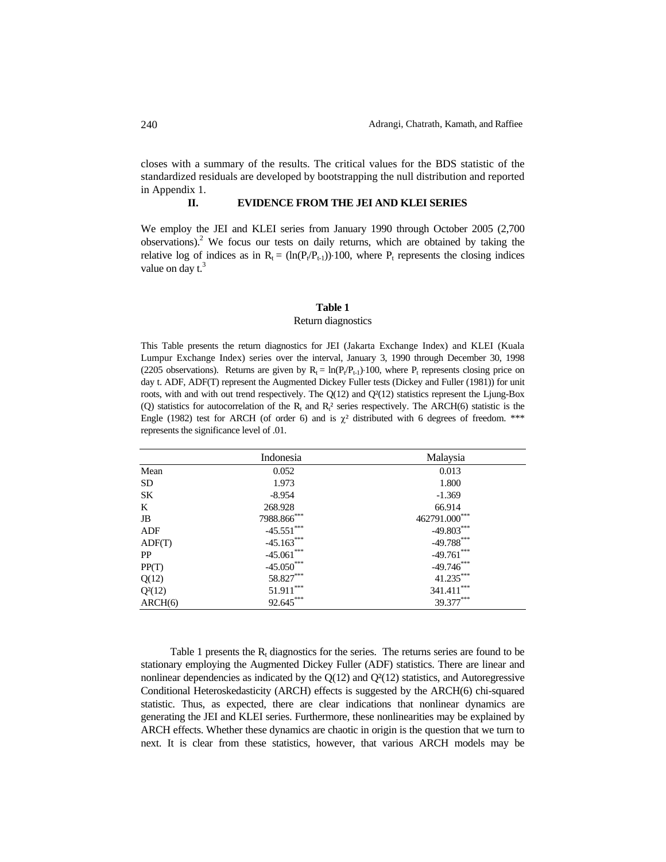closes with a summary of the results. The critical values for the BDS statistic of the standardized residuals are developed by bootstrapping the null distribution and reported in Appendix 1.

# **II. EVIDENCE FROM THE JEI AND KLEI SERIES**

We employ the JEI and KLEI series from January 1990 through October 2005 (2,700 observations).<sup>2</sup> We focus our tests on daily returns, which are obtained by taking the relative log of indices as in  $R_t = (\ln(P_t/P_{t-1})) \cdot 100$ , where  $P_t$  represents the closing indices value on day  $t^3$ .

### **Table 1**

### Return diagnostics

This Table presents the return diagnostics for JEI (Jakarta Exchange Index) and KLEI (Kuala Lumpur Exchange Index) series over the interval, January 3, 1990 through December 30, 1998 (2205 observations). Returns are given by  $R_t = \ln(P_t/P_{t-1}) \cdot 100$ , where P<sub>t</sub> represents closing price on day t. ADF, ADF(T) represent the Augmented Dickey Fuller tests (Dickey and Fuller (1981)) for unit roots, with and with out trend respectively. The  $Q(12)$  and  $Q<sup>2</sup>(12)$  statistics represent the Ljung-Box (Q) statistics for autocorrelation of the  $R_t$  and  $R_t^2$  series respectively. The ARCH(6) statistic is the Engle (1982) test for ARCH (of order 6) and is  $\chi^2$  distributed with 6 degrees of freedom. \*\*\* represents the significance level of .01.

|           | Indonesia     | Malaysia      |
|-----------|---------------|---------------|
| Mean      | 0.052         | 0.013         |
| <b>SD</b> | 1.973         | 1.800         |
| SK        | $-8.954$      | $-1.369$      |
| K         | 268.928       | 66.914        |
| JB        | 7988.866***   | 462791.000*** |
| ADF       | $-45.551$ *** | $-49.803***$  |
| ADF(T)    | $-45.163***$  | $-49.788***$  |
| PP        | $-45.061$ *** | $-49.761***$  |
| PP(T)     | $-45.050***$  | $-49.746***$  |
| Q(12)     | 58.827***     | $41.235***$   |
| $Q^2(12)$ | $51.911***$   | $341.411***$  |
| ARCH(6)   | $92.645***$   | 39.377***     |

Table 1 presents the  $R_t$  diagnostics for the series. The returns series are found to be stationary employing the Augmented Dickey Fuller (ADF) statistics. There are linear and nonlinear dependencies as indicated by the  $Q(12)$  and  $Q<sup>2</sup>(12)$  statistics, and Autoregressive Conditional Heteroskedasticity (ARCH) effects is suggested by the ARCH(6) chi-squared statistic. Thus, as expected, there are clear indications that nonlinear dynamics are generating the JEI and KLEI series. Furthermore, these nonlinearities may be explained by ARCH effects. Whether these dynamics are chaotic in origin is the question that we turn to next. It is clear from these statistics, however, that various ARCH models may be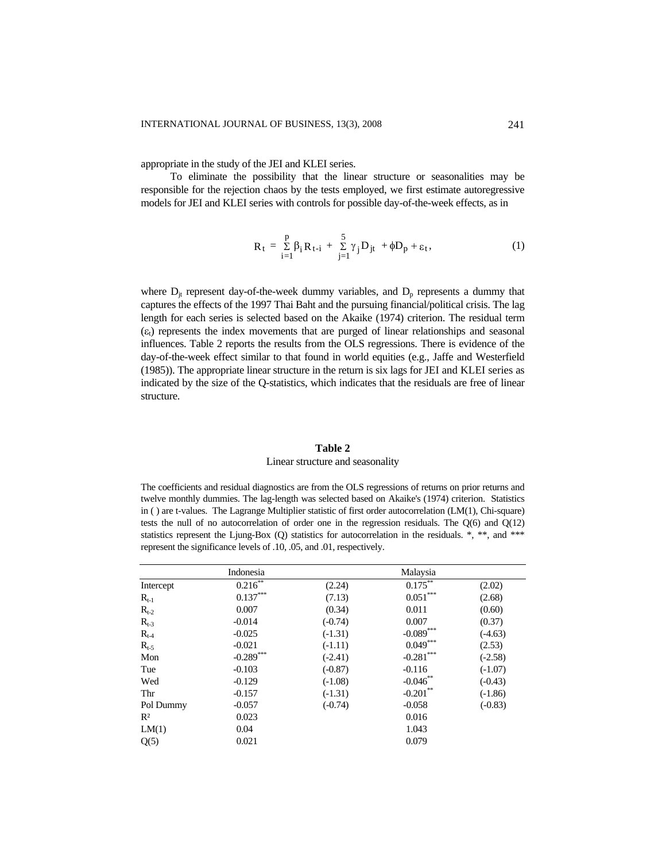appropriate in the study of the JEI and KLEI series.

To eliminate the possibility that the linear structure or seasonalities may be responsible for the rejection chaos by the tests employed, we first estimate autoregressive models for JEI and KLEI series with controls for possible day-of-the-week effects, as in

$$
R_{t} = \sum_{i=1}^{p} \beta_{i} R_{t-i} + \sum_{j=1}^{5} \gamma_{j} D_{jt} + \phi D_{p} + \varepsilon_{t}, \qquad (1)
$$

where  $D_{jt}$  represent day-of-the-week dummy variables, and  $D_p$  represents a dummy that captures the effects of the 1997 Thai Baht and the pursuing financial/political crisis. The lag length for each series is selected based on the Akaike (1974) criterion. The residual term  $(\epsilon_t)$  represents the index movements that are purged of linear relationships and seasonal influences. Table 2 reports the results from the OLS regressions. There is evidence of the day-of-the-week effect similar to that found in world equities (e.g., Jaffe and Westerfield (1985)). The appropriate linear structure in the return is six lags for JEI and KLEI series as indicated by the size of the Q-statistics, which indicates that the residuals are free of linear structure.

# **Table 2**

# Linear structure and seasonality

The coefficients and residual diagnostics are from the OLS regressions of returns on prior returns and twelve monthly dummies. The lag-length was selected based on Akaike's (1974) criterion. Statistics in ( ) are t-values. The Lagrange Multiplier statistic of first order autocorrelation (LM(1), Chi-square) tests the null of no autocorrelation of order one in the regression residuals. The  $O(6)$  and  $O(12)$ statistics represent the Ljung-Box (Q) statistics for autocorrelation in the residuals.  $*, **$ , and  $***$ represent the significance levels of .10, .05, and .01, respectively.

|           | Indonesia    |           | Malaysia     |           |
|-----------|--------------|-----------|--------------|-----------|
| Intercept | $0.216$ **   | (2.24)    | $0.175^{**}$ | (2.02)    |
| $R_{t-1}$ | $0.137***$   | (7.13)    | $0.051***$   | (2.68)    |
| $R_{t-2}$ | 0.007        | (0.34)    | 0.011        | (0.60)    |
| $R_{t-3}$ | $-0.014$     | $(-0.74)$ | 0.007        | (0.37)    |
| $R_{t-4}$ | $-0.025$     | $(-1.31)$ | $-0.089$ *** | $(-4.63)$ |
| $R_{t-5}$ | $-0.021$     | $(-1.11)$ | $0.049***$   | (2.53)    |
| Mon       | $-0.289$ *** | $(-2.41)$ | $-0.281$ *** | $(-2.58)$ |
| Tue       | $-0.103$     | $(-0.87)$ | $-0.116$     | $(-1.07)$ |
| Wed       | $-0.129$     | $(-1.08)$ | $-0.046**$   | $(-0.43)$ |
| Thr       | $-0.157$     | $(-1.31)$ | $-0.201$ **  | $(-1.86)$ |
| Pol Dummy | $-0.057$     | $(-0.74)$ | $-0.058$     | $(-0.83)$ |
| $R^2$     | 0.023        |           | 0.016        |           |
| LM(1)     | 0.04         |           | 1.043        |           |
| Q(5)      | 0.021        |           | 0.079        |           |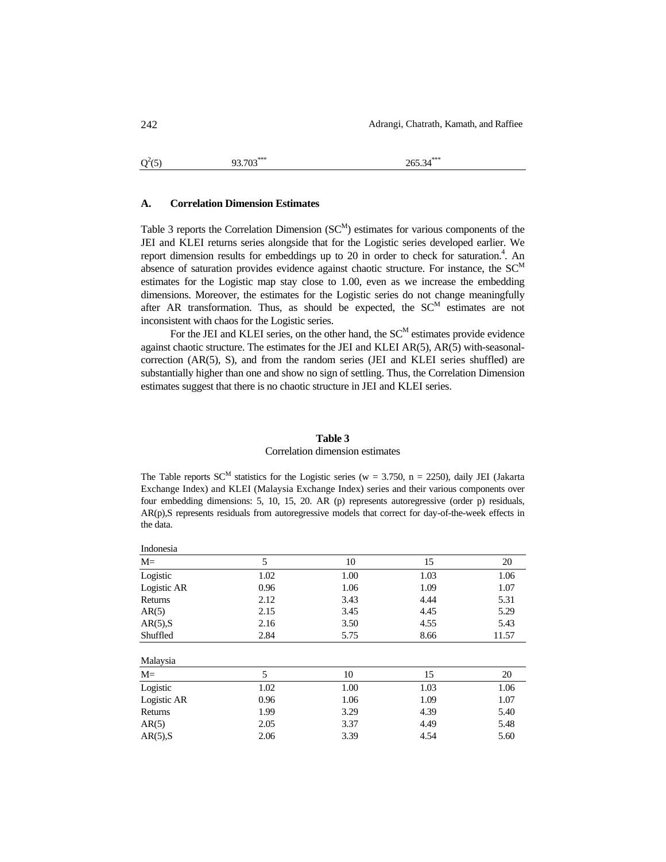```
Q^2(5)93.703<sup>***</sup> 265.34<sup>*</sup>
```
### **A. Correlation Dimension Estimates**

Table 3 reports the Correlation Dimension  $(S<sup>M</sup>)$  estimates for various components of the JEI and KLEI returns series alongside that for the Logistic series developed earlier. We report dimension results for embeddings up to 20 in order to check for saturation.<sup>4</sup>. An absence of saturation provides evidence against chaotic structure. For instance, the  $SC^{M}$ estimates for the Logistic map stay close to 1.00, even as we increase the embedding dimensions. Moreover, the estimates for the Logistic series do not change meaningfully after AR transformation. Thus, as should be expected, the  $SC<sup>M</sup>$  estimates are not inconsistent with chaos for the Logistic series.

For the JEI and KLEI series, on the other hand, the  $SC^M$  estimates provide evidence against chaotic structure. The estimates for the JEI and KLEI AR(5), AR(5) with-seasonalcorrection (AR(5), S), and from the random series (JEI and KLEI series shuffled) are substantially higher than one and show no sign of settling. Thus, the Correlation Dimension estimates suggest that there is no chaotic structure in JEI and KLEI series.

#### **Table 3**

### Correlation dimension estimates

The Table reports  $SC^M$  statistics for the Logistic series (w = 3.750, n = 2250), daily JEI (Jakarta Exchange Index) and KLEI (Malaysia Exchange Index) series and their various components over four embedding dimensions: 5, 10, 15, 20. AR (p) represents autoregressive (order p) residuals, AR(p),S represents residuals from autoregressive models that correct for day-of-the-week effects in the data.

| 5    | 10   | 15   | 20    |
|------|------|------|-------|
| 1.02 | 1.00 | 1.03 | 1.06  |
| 0.96 | 1.06 | 1.09 | 1.07  |
| 2.12 | 3.43 | 4.44 | 5.31  |
| 2.15 | 3.45 | 4.45 | 5.29  |
| 2.16 | 3.50 | 4.55 | 5.43  |
| 2.84 | 5.75 | 8.66 | 11.57 |
|      |      |      |       |
| 5    | 10   | 15   | 20    |
| 1.02 | 1.00 | 1.03 | 1.06  |
| 0.96 | 1.06 | 1.09 | 1.07  |
| 1.99 | 3.29 | 4.39 | 5.40  |
| 2.05 | 3.37 | 4.49 | 5.48  |
| 2.06 | 3.39 | 4.54 | 5.60  |
|      |      |      |       |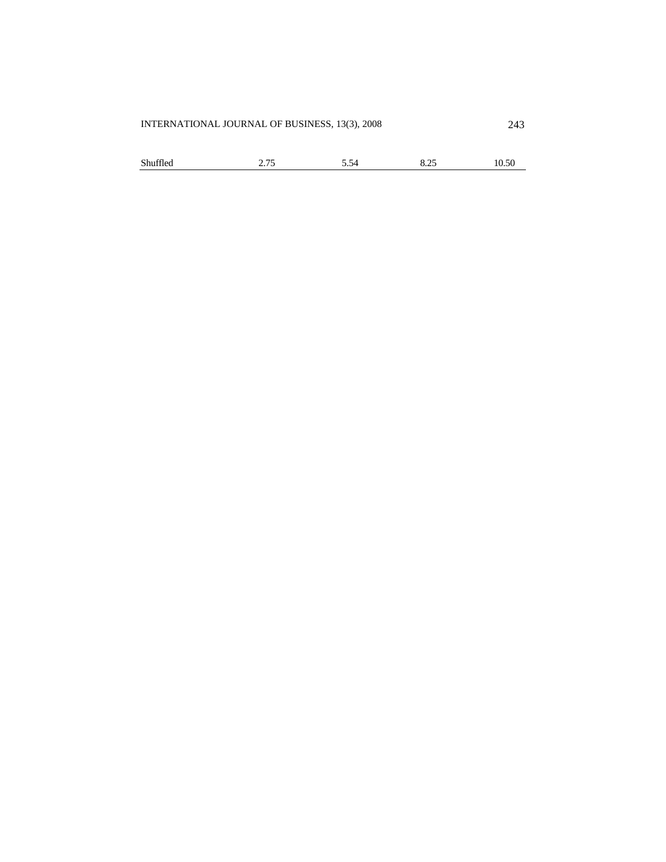| Shuffled | 2.75 | 5.54 | 8.25 | 10.50 |
|----------|------|------|------|-------|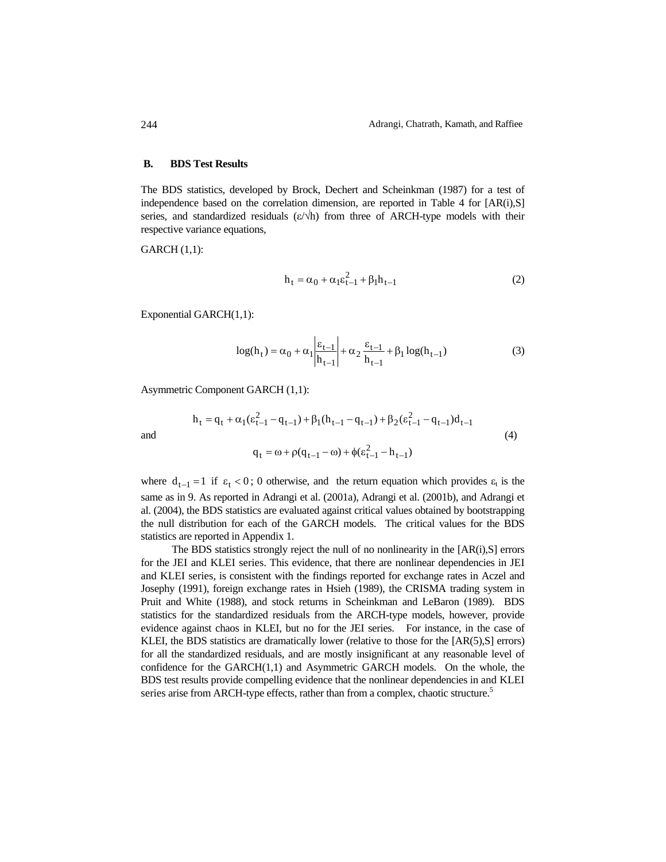### **B. BDS Test Results**

The BDS statistics, developed by Brock, Dechert and Scheinkman (1987) for a test of independence based on the correlation dimension, are reported in Table 4 for  $[AR(i),S]$ series, and standardized residuals  $(\varepsilon/\hbar)$  from three of ARCH-type models with their respective variance equations,

GARCH (1,1):

$$
h_t = \alpha_0 + \alpha_1 \varepsilon_{t-1}^2 + \beta_1 h_{t-1}
$$
 (2)

Exponential GARCH(1,1):

$$
\log(h_t) = \alpha_0 + \alpha_1 \left| \frac{\varepsilon_{t-1}}{h_{t-1}} \right| + \alpha_2 \frac{\varepsilon_{t-1}}{h_{t-1}} + \beta_1 \log(h_{t-1})
$$
 (3)

Asymmetric Component GARCH (1,1):

$$
h_{t} = q_{t} + \alpha_{1}(\varepsilon_{t-1}^{2} - q_{t-1}) + \beta_{1}(h_{t-1} - q_{t-1}) + \beta_{2}(\varepsilon_{t-1}^{2} - q_{t-1})d_{t-1}
$$
\n
$$
q_{t} = \omega + \rho(q_{t-1} - \omega) + \phi(\varepsilon_{t-1}^{2} - h_{t-1})
$$
\n(4)

where  $d_{t-1} = 1$  if  $\varepsilon_t < 0$ ; 0 otherwise, and the return equation which provides  $\varepsilon_t$  is the same as in 9. As reported in Adrangi et al. (2001a), Adrangi et al. (2001b), and Adrangi et al. (2004), the BDS statistics are evaluated against critical values obtained by bootstrapping the null distribution for each of the GARCH models. The critical values for the BDS statistics are reported in Appendix 1.

The BDS statistics strongly reject the null of no nonlinearity in the [AR(i),S] errors for the JEI and KLEI series. This evidence, that there are nonlinear dependencies in JEI and KLEI series, is consistent with the findings reported for exchange rates in Aczel and Josephy (1991), foreign exchange rates in Hsieh (1989), the CRISMA trading system in Pruit and White (1988), and stock returns in Scheinkman and LeBaron (1989). BDS statistics for the standardized residuals from the ARCH-type models, however, provide evidence against chaos in KLEI, but no for the JEI series. For instance, in the case of KLEI, the BDS statistics are dramatically lower (relative to those for the [AR(5),S] errors) for all the standardized residuals, and are mostly insignificant at any reasonable level of confidence for the GARCH(1,1) and Asymmetric GARCH models. On the whole, the BDS test results provide compelling evidence that the nonlinear dependencies in and KLEI series arise from ARCH-type effects, rather than from a complex, chaotic structure.<sup>5</sup>

244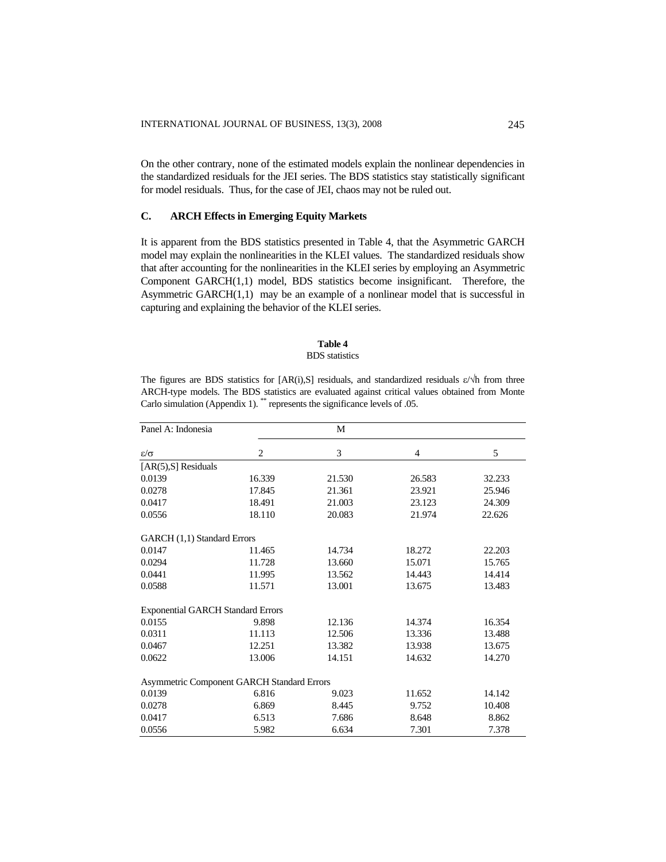On the other contrary, none of the estimated models explain the nonlinear dependencies in the standardized residuals for the JEI series. The BDS statistics stay statistically significant for model residuals. Thus, for the case of JEI, chaos may not be ruled out.

# **C. ARCH Effects in Emerging Equity Markets**

It is apparent from the BDS statistics presented in Table 4, that the Asymmetric GARCH model may explain the nonlinearities in the KLEI values. The standardized residuals show that after accounting for the nonlinearities in the KLEI series by employing an Asymmetric Component GARCH(1,1) model, BDS statistics become insignificant. Therefore, the Asymmetric GARCH(1,1) may be an example of a nonlinear model that is successful in capturing and explaining the behavior of the KLEI series.

# **Table 4**

### BDS statistics

The figures are BDS statistics for  $[AR(i),S]$  residuals, and standardized residuals  $\varepsilon/\sqrt{h}$  from three ARCH-type models. The BDS statistics are evaluated against critical values obtained from Monte Carlo simulation (Appendix 1). \*\* represents the significance levels of .05.

| Panel A: Indonesia                         |                | M      |        |        |
|--------------------------------------------|----------------|--------|--------|--------|
| $\varepsilon/\sigma$                       | $\overline{c}$ | 3      | 4      | 5      |
| $[AR(5),S]$ Residuals                      |                |        |        |        |
| 0.0139                                     | 16.339         | 21.530 | 26.583 | 32.233 |
| 0.0278                                     | 17.845         | 21.361 | 23.921 | 25.946 |
| 0.0417                                     | 18.491         | 21.003 | 23.123 | 24.309 |
| 0.0556                                     | 18.110         | 20.083 | 21.974 | 22.626 |
| GARCH (1,1) Standard Errors                |                |        |        |        |
| 0.0147                                     | 11.465         | 14.734 | 18.272 | 22.203 |
| 0.0294                                     | 11.728         | 13.660 | 15.071 | 15.765 |
| 0.0441                                     | 11.995         | 13.562 | 14.443 | 14.414 |
| 0.0588                                     | 11.571         | 13.001 | 13.675 | 13.483 |
| <b>Exponential GARCH Standard Errors</b>   |                |        |        |        |
| 0.0155                                     | 9.898          | 12.136 | 14.374 | 16.354 |
| 0.0311                                     | 11.113         | 12.506 | 13.336 | 13.488 |
| 0.0467                                     | 12.251         | 13.382 | 13.938 | 13.675 |
| 0.0622                                     | 13.006         | 14.151 | 14.632 | 14.270 |
| Asymmetric Component GARCH Standard Errors |                |        |        |        |
| 0.0139                                     | 6.816          | 9.023  | 11.652 | 14.142 |
| 0.0278                                     | 6.869          | 8.445  | 9.752  | 10.408 |
| 0.0417                                     | 6.513          | 7.686  | 8.648  | 8.862  |
| 0.0556                                     | 5.982          | 6.634  | 7.301  | 7.378  |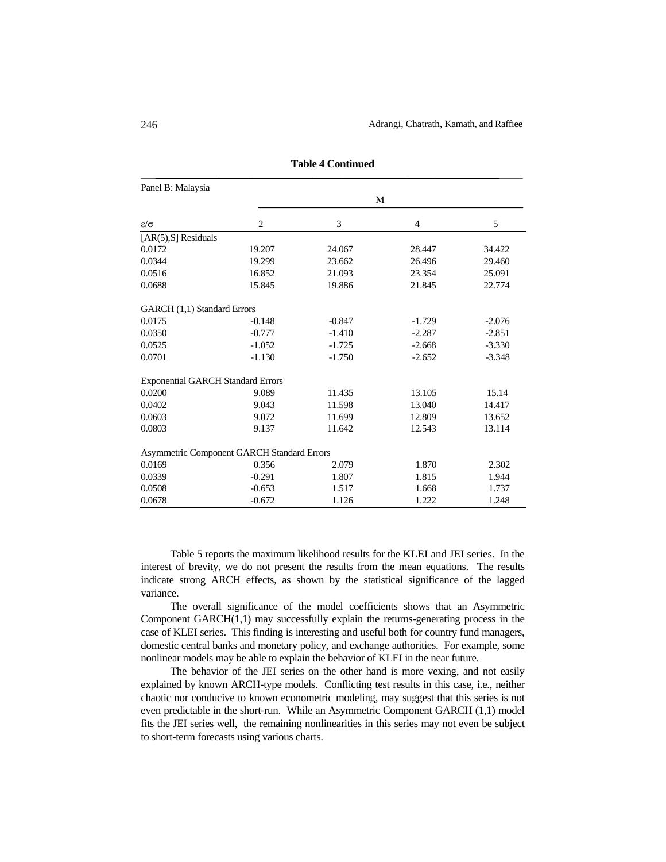| Panel B: Malaysia                        |                                            |          |          |          |  |
|------------------------------------------|--------------------------------------------|----------|----------|----------|--|
|                                          |                                            | M        |          |          |  |
| $\varepsilon/\sigma$                     | $\overline{2}$                             | 3        | 4        | 5        |  |
| [ $AR(5)$ , $S$ ] Residuals              |                                            |          |          |          |  |
| 0.0172                                   | 19.207                                     | 24.067   | 28.447   | 34.422   |  |
| 0.0344                                   | 19.299                                     | 23.662   | 26.496   | 29.460   |  |
| 0.0516                                   | 16.852                                     | 21.093   | 23.354   | 25.091   |  |
| 0.0688                                   | 15.845                                     | 19.886   | 21.845   | 22.774   |  |
| GARCH (1,1) Standard Errors              |                                            |          |          |          |  |
| 0.0175                                   | $-0.148$                                   | $-0.847$ | $-1.729$ | $-2.076$ |  |
| 0.0350                                   | $-0.777$                                   | $-1.410$ | $-2.287$ | $-2.851$ |  |
| 0.0525                                   | $-1.052$                                   | $-1.725$ | $-2.668$ | $-3.330$ |  |
| 0.0701                                   | $-1.130$                                   | $-1.750$ | $-2.652$ | $-3.348$ |  |
| <b>Exponential GARCH Standard Errors</b> |                                            |          |          |          |  |
| 0.0200                                   | 9.089                                      | 11.435   | 13.105   | 15.14    |  |
| 0.0402                                   | 9.043                                      | 11.598   | 13.040   | 14.417   |  |
| 0.0603                                   | 9.072                                      | 11.699   | 12.809   | 13.652   |  |
| 0.0803                                   | 9.137                                      | 11.642   | 12.543   | 13.114   |  |
|                                          | Asymmetric Component GARCH Standard Errors |          |          |          |  |
| 0.0169                                   | 0.356                                      | 2.079    | 1.870    | 2.302    |  |
| 0.0339                                   | $-0.291$                                   | 1.807    | 1.815    | 1.944    |  |
| 0.0508                                   | $-0.653$                                   | 1.517    | 1.668    | 1.737    |  |
| 0.0678                                   | $-0.672$                                   | 1.126    | 1.222    | 1.248    |  |

**Table 4 Continued** 

Table 5 reports the maximum likelihood results for the KLEI and JEI series. In the interest of brevity, we do not present the results from the mean equations. The results indicate strong ARCH effects, as shown by the statistical significance of the lagged variance.

The overall significance of the model coefficients shows that an Asymmetric Component GARCH(1,1) may successfully explain the returns-generating process in the case of KLEI series. This finding is interesting and useful both for country fund managers, domestic central banks and monetary policy, and exchange authorities. For example, some nonlinear models may be able to explain the behavior of KLEI in the near future.

The behavior of the JEI series on the other hand is more vexing, and not easily explained by known ARCH-type models. Conflicting test results in this case, i.e., neither chaotic nor conducive to known econometric modeling, may suggest that this series is not even predictable in the short-run. While an Asymmetric Component GARCH (1,1) model fits the JEI series well, the remaining nonlinearities in this series may not even be subject to short-term forecasts using various charts.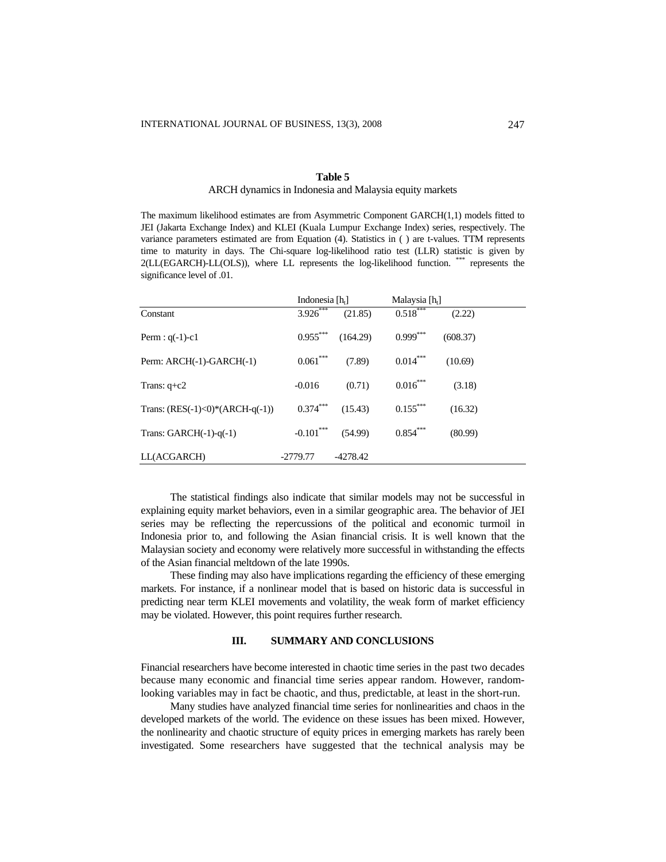# **Table 5**

## ARCH dynamics in Indonesia and Malaysia equity markets

The maximum likelihood estimates are from Asymmetric Component GARCH(1,1) models fitted to JEI (Jakarta Exchange Index) and KLEI (Kuala Lumpur Exchange Index) series, respectively. The variance parameters estimated are from Equation (4). Statistics in ( ) are t-values. TTM represents time to maturity in days. The Chi-square log-likelihood ratio test (LLR) statistic is given by 2(LL(EGARCH)-LL(OLS)), where LL represents the log-likelihood function. \*\*\* represents the significance level of .01.

|                                     |             | Indonesia $[h_t]$ |                        | Malaysia [h <sub>t</sub> ] |
|-------------------------------------|-------------|-------------------|------------------------|----------------------------|
| Constant                            | 3.926***    | (21.85)           | $0.518***$             | (2.22)                     |
| Perm : $q(-1)-c1$                   | $0.955***$  | (164.29)          | $0.999$ <sup>***</sup> | (608.37)                   |
| Perm: ARCH(-1)-GARCH(-1)            | $0.061***$  | (7.89)            | $0.014***$             | (10.69)                    |
| Trans: $q + c2$                     | $-0.016$    | (0.71)            | $0.016***$             | (3.18)                     |
| Trans: $(RES(-1) < 0)*(ARCH-q(-1))$ | $0.374***$  | (15.43)           | $0.155***$             | (16.32)                    |
| Trans: $GARCH(-1)-q(-1)$            | $-0.101***$ | (54.99)           | $0.854***$             | (80.99)                    |
| LL(ACGARCH)                         | $-2779.77$  | $-4278.42$        |                        |                            |

The statistical findings also indicate that similar models may not be successful in explaining equity market behaviors, even in a similar geographic area. The behavior of JEI series may be reflecting the repercussions of the political and economic turmoil in Indonesia prior to, and following the Asian financial crisis. It is well known that the Malaysian society and economy were relatively more successful in withstanding the effects of the Asian financial meltdown of the late 1990s.

These finding may also have implications regarding the efficiency of these emerging markets. For instance, if a nonlinear model that is based on historic data is successful in predicting near term KLEI movements and volatility, the weak form of market efficiency may be violated. However, this point requires further research.

# **III. SUMMARY AND CONCLUSIONS**

Financial researchers have become interested in chaotic time series in the past two decades because many economic and financial time series appear random. However, randomlooking variables may in fact be chaotic, and thus, predictable, at least in the short-run.

Many studies have analyzed financial time series for nonlinearities and chaos in the developed markets of the world. The evidence on these issues has been mixed. However, the nonlinearity and chaotic structure of equity prices in emerging markets has rarely been investigated. Some researchers have suggested that the technical analysis may be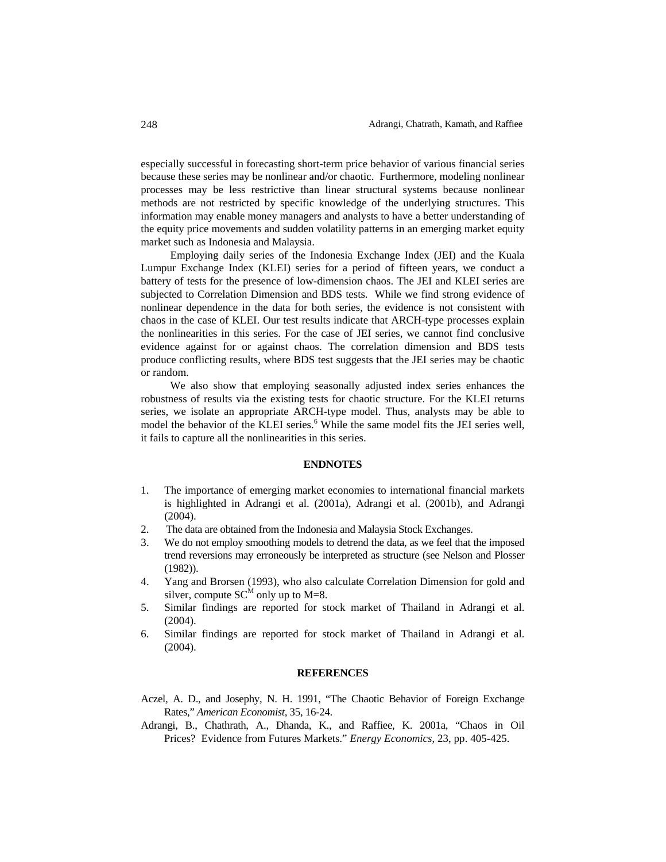especially successful in forecasting short-term price behavior of various financial series because these series may be nonlinear and/or chaotic. Furthermore, modeling nonlinear processes may be less restrictive than linear structural systems because nonlinear methods are not restricted by specific knowledge of the underlying structures. This information may enable money managers and analysts to have a better understanding of the equity price movements and sudden volatility patterns in an emerging market equity market such as Indonesia and Malaysia.

Employing daily series of the Indonesia Exchange Index (JEI) and the Kuala Lumpur Exchange Index (KLEI) series for a period of fifteen years, we conduct a battery of tests for the presence of low-dimension chaos. The JEI and KLEI series are subjected to Correlation Dimension and BDS tests. While we find strong evidence of nonlinear dependence in the data for both series, the evidence is not consistent with chaos in the case of KLEI. Our test results indicate that ARCH-type processes explain the nonlinearities in this series. For the case of JEI series, we cannot find conclusive evidence against for or against chaos. The correlation dimension and BDS tests produce conflicting results, where BDS test suggests that the JEI series may be chaotic or random.

We also show that employing seasonally adjusted index series enhances the robustness of results via the existing tests for chaotic structure. For the KLEI returns series, we isolate an appropriate ARCH-type model. Thus, analysts may be able to model the behavior of the KLEI series.<sup>6</sup> While the same model fits the JEI series well, it fails to capture all the nonlinearities in this series.

### **ENDNOTES**

- 1. The importance of emerging market economies to international financial markets is highlighted in Adrangi et al. (2001a), Adrangi et al. (2001b), and Adrangi (2004).
- 2. The data are obtained from the Indonesia and Malaysia Stock Exchanges.
- 3. We do not employ smoothing models to detrend the data, as we feel that the imposed trend reversions may erroneously be interpreted as structure (see Nelson and Plosser (1982)).
- 4. Yang and Brorsen (1993), who also calculate Correlation Dimension for gold and silver, compute  $SC^M$  only up to M=8.
- 5. Similar findings are reported for stock market of Thailand in Adrangi et al. (2004).
- 6. Similar findings are reported for stock market of Thailand in Adrangi et al. (2004).

### **REFERENCES**

- Aczel, A. D., and Josephy, N. H. 1991, "The Chaotic Behavior of Foreign Exchange Rates," *American Economist*, 35, 16-24.
- Adrangi, B., Chathrath, A., Dhanda, K., and Raffiee, K. 2001a, "Chaos in Oil Prices? Evidence from Futures Markets." *Energy Economics*, 23, pp. 405-425.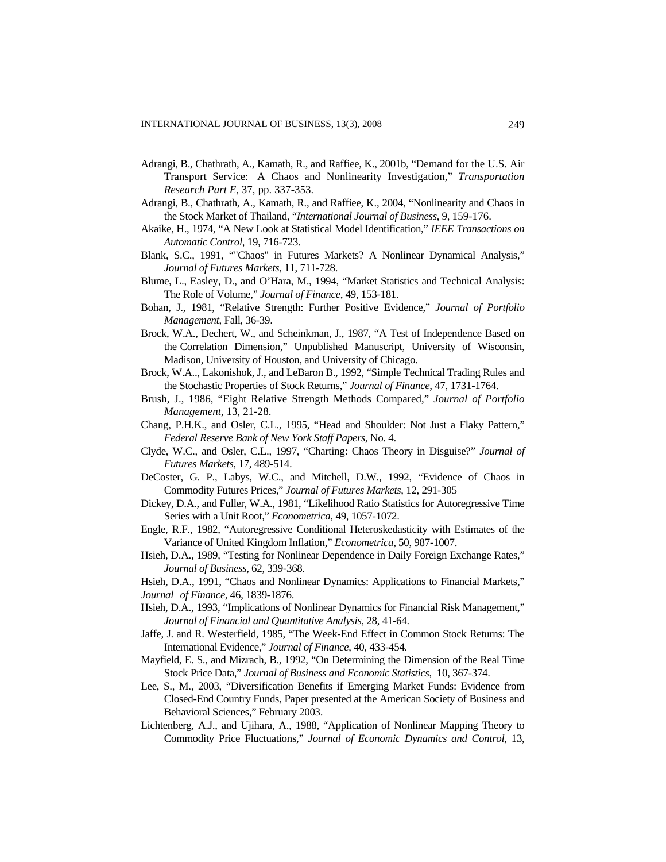- Adrangi, B., Chathrath, A., Kamath, R., and Raffiee, K., 2001b, "Demand for the U.S. Air Transport Service: A Chaos and Nonlinearity Investigation," *Transportation Research Part E*, 37, pp. 337-353.
- Adrangi, B., Chathrath, A., Kamath, R., and Raffiee, K., 2004, "Nonlinearity and Chaos in the Stock Market of Thailand, "*International Journal of Business*, 9, 159-176.
- Akaike, H., 1974, "A New Look at Statistical Model Identification," *IEEE Transactions on Automatic Control*, 19, 716-723.
- Blank, S.C., 1991, ""Chaos" in Futures Markets? A Nonlinear Dynamical Analysis*,*" *Journal of Futures Markets*, 11, 711-728.
- Blume, L., Easley, D., and O'Hara, M., 1994, "Market Statistics and Technical Analysis: The Role of Volume," *Journal of Finance*, 49, 153-181.
- Bohan, J., 1981, "Relative Strength: Further Positive Evidence," *Journal of Portfolio Management*, Fall, 36-39.
- Brock, W.A., Dechert, W., and Scheinkman, J., 1987, "A Test of Independence Based on the Correlation Dimension," Unpublished Manuscript, University of Wisconsin, Madison, University of Houston, and University of Chicago.
- Brock, W.A.., Lakonishok, J., and LeBaron B., 1992, "Simple Technical Trading Rules and the Stochastic Properties of Stock Returns," *Journal of Finance*, 47, 1731-1764.
- Brush, J., 1986, "Eight Relative Strength Methods Compared," *Journal of Portfolio Management*, 13, 21-28.
- Chang, P.H.K., and Osler, C.L., 1995, "Head and Shoulder: Not Just a Flaky Pattern," *Federal Reserve Bank of New York Staff Papers*, No. 4.
- Clyde, W.C., and Osler, C.L., 1997, "Charting: Chaos Theory in Disguise?" *Journal of Futures Markets*, 17, 489-514.
- DeCoster, G. P., Labys, W.C., and Mitchell, D.W., 1992, "Evidence of Chaos in Commodity Futures Prices," *Journal of Futures Markets*, 12, 291-305
- Dickey, D.A., and Fuller, W.A., 1981, "Likelihood Ratio Statistics for Autoregressive Time Series with a Unit Root," *Econometrica*, 49, 1057-1072.
- Engle, R.F., 1982, "Autoregressive Conditional Heteroskedasticity with Estimates of the Variance of United Kingdom Inflation," *Econometrica*, 50, 987-1007.
- Hsieh, D.A., 1989, "Testing for Nonlinear Dependence in Daily Foreign Exchange Rates," *Journal of Business*, 62, 339-368.
- Hsieh, D.A., 1991, "Chaos and Nonlinear Dynamics: Applications to Financial Markets," *Journal of Finance*, 46, 1839-1876.
- Hsieh, D.A., 1993, "Implications of Nonlinear Dynamics for Financial Risk Management," *Journal of Financial and Quantitative Analysis*, 28, 41-64.
- Jaffe, J. and R. Westerfield, 1985, "The Week-End Effect in Common Stock Returns: The International Evidence," *Journal of Finance*, 40, 433-454.
- Mayfield, E. S., and Mizrach, B., 1992, "On Determining the Dimension of the Real Time Stock Price Data," *Journal of Business and Economic Statistics*, 10, 367-374.
- Lee, S., M., 2003, "Diversification Benefits if Emerging Market Funds: Evidence from Closed-End Country Funds, Paper presented at the American Society of Business and Behavioral Sciences," February 2003.
- Lichtenberg, A.J., and Ujihara, A., 1988, "Application of Nonlinear Mapping Theory to Commodity Price Fluctuations," *Journal of Economic Dynamics and Control*, 13,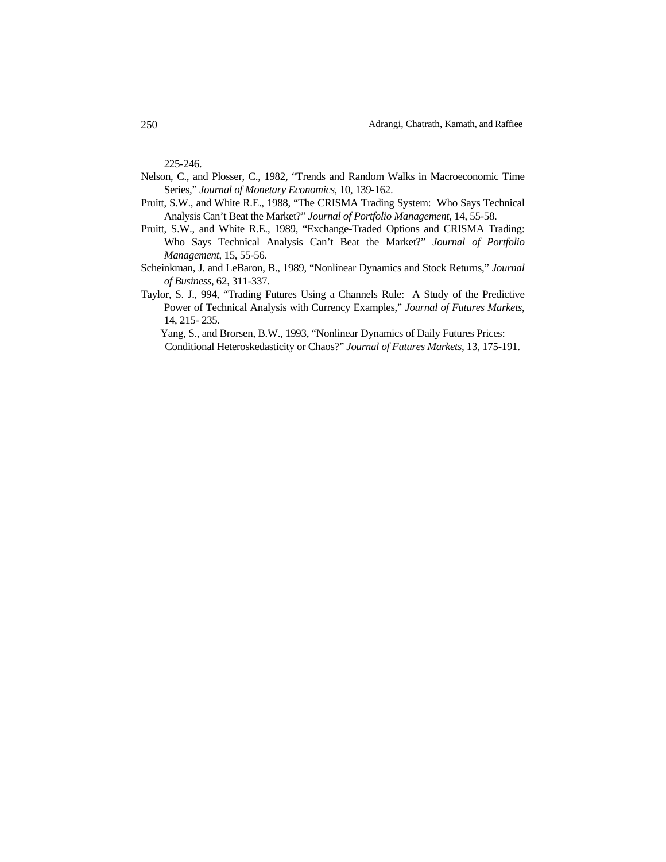225-246.

- Nelson, C., and Plosser, C., 1982, "Trends and Random Walks in Macroeconomic Time Series," *Journal of Monetary Economics*, 10, 139-162.
- Pruitt, S.W., and White R.E., 1988, "The CRISMA Trading System: Who Says Technical Analysis Can't Beat the Market?" *Journal of Portfolio Management*, 14, 55-58.
- Pruitt, S.W., and White R.E., 1989, "Exchange-Traded Options and CRISMA Trading: Who Says Technical Analysis Can't Beat the Market?" *Journal of Portfolio Management*, 15, 55-56.
- Scheinkman, J. and LeBaron, B., 1989, "Nonlinear Dynamics and Stock Returns," *Journal of Business*, 62, 311-337.
- Taylor, S. J., 994, "Trading Futures Using a Channels Rule: A Study of the Predictive Power of Technical Analysis with Currency Examples," *Journal of Futures Markets*, 14, 215- 235.

Yang, S., and Brorsen, B.W., 1993, "Nonlinear Dynamics of Daily Futures Prices: Conditional Heteroskedasticity or Chaos?" *Journal of Futures Markets*, 13, 175-191.